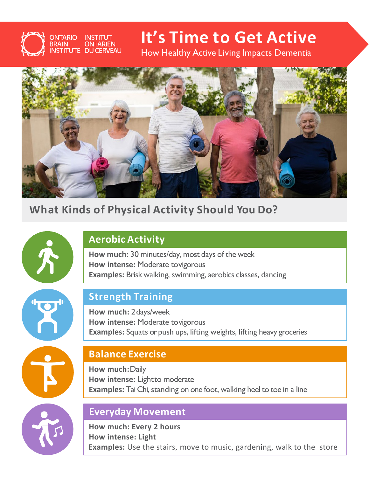# **It's Time to Get Active**

How Healthy Active Living Impacts Dementia



## **What Kinds of Physical Activity Should You Do?**



**ONTARIO INSTITUT** 

**ISTITUTE DU CERVEAU** 

**BRAIN** 

**ONTARIEN** 

## **Aerobic Activity**

**How much:** 30 minutes/day, most days of the week **How intense:** Moderate tovigorous **Examples:** Brisk walking, swimming, aerobics classes, dancing

## **Strength Training**

**How much:** 2days/week **How intense:** Moderate tovigorous **Examples:** Squats or push ups, lifting weights, lifting heavy groceries

## **Balance Exercise**

**How much:**Daily **How intense:** Lightto moderate **Examples:** Tai Chi, standing on one foot, walking heel to toe in a line

#### **Everyday Movement**

**How much: Every 2 hours How intense: Light Examples:** Use the stairs, move to music, gardening, walk to the store